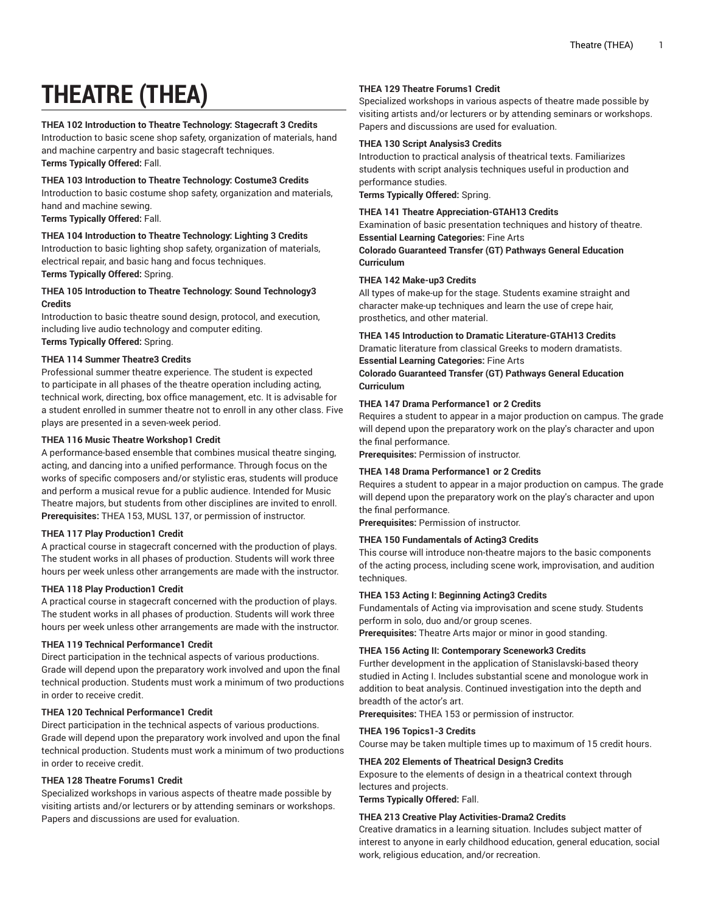# **THEATRE (THEA)**

# **THEA 102 Introduction to Theatre Technology: Stagecraft 3 Credits**

Introduction to basic scene shop safety, organization of materials, hand and machine carpentry and basic stagecraft techniques.

**Terms Typically Offered:** Fall.

# **THEA 103 Introduction to Theatre Technology: Costume3 Credits**

Introduction to basic costume shop safety, organization and materials, hand and machine sewing.

**Terms Typically Offered:** Fall.

# **THEA 104 Introduction to Theatre Technology: Lighting 3 Credits**

Introduction to basic lighting shop safety, organization of materials, electrical repair, and basic hang and focus techniques. **Terms Typically Offered:** Spring.

# **THEA 105 Introduction to Theatre Technology: Sound Technology3 Credits**

Introduction to basic theatre sound design, protocol, and execution, including live audio technology and computer editing. **Terms Typically Offered:** Spring.

# **THEA 114 Summer Theatre3 Credits**

Professional summer theatre experience. The student is expected to participate in all phases of the theatre operation including acting, technical work, directing, box office management, etc. It is advisable for a student enrolled in summer theatre not to enroll in any other class. Five plays are presented in a seven-week period.

# **THEA 116 Music Theatre Workshop1 Credit**

A performance-based ensemble that combines musical theatre singing, acting, and dancing into a unified performance. Through focus on the works of specific composers and/or stylistic eras, students will produce and perform a musical revue for a public audience. Intended for Music Theatre majors, but students from other disciplines are invited to enroll. **Prerequisites:** THEA 153, MUSL 137, or permission of instructor.

# **THEA 117 Play Production1 Credit**

A practical course in stagecraft concerned with the production of plays. The student works in all phases of production. Students will work three hours per week unless other arrangements are made with the instructor.

# **THEA 118 Play Production1 Credit**

A practical course in stagecraft concerned with the production of plays. The student works in all phases of production. Students will work three hours per week unless other arrangements are made with the instructor.

#### **THEA 119 Technical Performance1 Credit**

Direct participation in the technical aspects of various productions. Grade will depend upon the preparatory work involved and upon the final technical production. Students must work a minimum of two productions in order to receive credit.

#### **THEA 120 Technical Performance1 Credit**

Direct participation in the technical aspects of various productions. Grade will depend upon the preparatory work involved and upon the final technical production. Students must work a minimum of two productions in order to receive credit.

# **THEA 128 Theatre Forums1 Credit**

Specialized workshops in various aspects of theatre made possible by visiting artists and/or lecturers or by attending seminars or workshops. Papers and discussions are used for evaluation.

#### **THEA 129 Theatre Forums1 Credit**

Specialized workshops in various aspects of theatre made possible by visiting artists and/or lecturers or by attending seminars or workshops. Papers and discussions are used for evaluation.

#### **THEA 130 Script Analysis3 Credits**

Introduction to practical analysis of theatrical texts. Familiarizes students with script analysis techniques useful in production and performance studies.

**Terms Typically Offered:** Spring.

#### **THEA 141 Theatre Appreciation-GTAH13 Credits**

Examination of basic presentation techniques and history of theatre. **Essential Learning Categories:** Fine Arts

**Colorado Guaranteed Transfer (GT) Pathways General Education Curriculum**

# **THEA 142 Make-up3 Credits**

All types of make-up for the stage. Students examine straight and character make-up techniques and learn the use of crepe hair, prosthetics, and other material.

#### **THEA 145 Introduction to Dramatic Literature-GTAH13 Credits** Dramatic literature from classical Greeks to modern dramatists.

**Essential Learning Categories:** Fine Arts

**Colorado Guaranteed Transfer (GT) Pathways General Education Curriculum**

# **THEA 147 Drama Performance1 or 2 Credits**

Requires a student to appear in a major production on campus. The grade will depend upon the preparatory work on the play's character and upon the final performance.

**Prerequisites:** Permission of instructor.

#### **THEA 148 Drama Performance1 or 2 Credits**

Requires a student to appear in a major production on campus. The grade will depend upon the preparatory work on the play's character and upon the final performance.

**Prerequisites:** Permission of instructor.

# **THEA 150 Fundamentals of Acting3 Credits**

This course will introduce non-theatre majors to the basic components of the acting process, including scene work, improvisation, and audition techniques.

# **THEA 153 Acting I: Beginning Acting3 Credits**

Fundamentals of Acting via improvisation and scene study. Students perform in solo, duo and/or group scenes.

**Prerequisites:** Theatre Arts major or minor in good standing.

#### **THEA 156 Acting II: Contemporary Scenework3 Credits**

Further development in the application of Stanislavski-based theory studied in Acting I. Includes substantial scene and monologue work in addition to beat analysis. Continued investigation into the depth and breadth of the actor's art.

**Prerequisites:** THEA 153 or permission of instructor.

#### **THEA 196 Topics1-3 Credits**

Course may be taken multiple times up to maximum of 15 credit hours.

#### **THEA 202 Elements of Theatrical Design3 Credits**

Exposure to the elements of design in a theatrical context through lectures and projects.

**Terms Typically Offered:** Fall.

# **THEA 213 Creative Play Activities-Drama2 Credits**

Creative dramatics in a learning situation. Includes subject matter of interest to anyone in early childhood education, general education, social work, religious education, and/or recreation.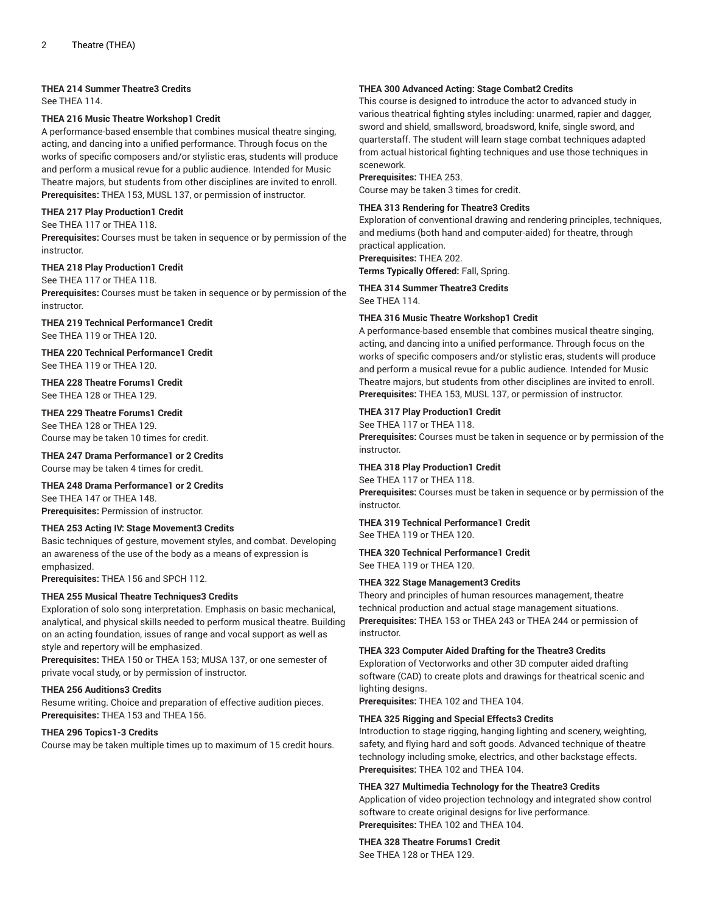## **THEA 214 Summer Theatre3 Credits**

See THEA 114.

# **THEA 216 Music Theatre Workshop1 Credit**

A performance-based ensemble that combines musical theatre singing, acting, and dancing into a unified performance. Through focus on the works of specific composers and/or stylistic eras, students will produce and perform a musical revue for a public audience. Intended for Music Theatre majors, but students from other disciplines are invited to enroll. **Prerequisites:** THEA 153, MUSL 137, or permission of instructor.

#### **THEA 217 Play Production1 Credit**

#### See THEA 117 or THEA 118.

**Prerequisites:** Courses must be taken in sequence or by permission of the instructor.

#### **THEA 218 Play Production1 Credit**

See THEA 117 or THEA 118. **Prerequisites:** Courses must be taken in sequence or by permission of the instructor.

# **THEA 219 Technical Performance1 Credit**

See THEA 119 or THEA 120.

**THEA 220 Technical Performance1 Credit** See THEA 119 or THEA 120.

#### **THEA 228 Theatre Forums1 Credit** See THEA 128 or THEA 129.

#### **THEA 229 Theatre Forums1 Credit**

See THEA 128 or THEA 129. Course may be taken 10 times for credit.

**THEA 247 Drama Performance1 or 2 Credits** Course may be taken 4 times for credit.

# **THEA 248 Drama Performance1 or 2 Credits**

See THEA 147 or THEA 148. **Prerequisites:** Permission of instructor.

# **THEA 253 Acting IV: Stage Movement3 Credits**

Basic techniques of gesture, movement styles, and combat. Developing an awareness of the use of the body as a means of expression is emphasized.

**Prerequisites:** THEA 156 and SPCH 112.

#### **THEA 255 Musical Theatre Techniques3 Credits**

Exploration of solo song interpretation. Emphasis on basic mechanical, analytical, and physical skills needed to perform musical theatre. Building on an acting foundation, issues of range and vocal support as well as style and repertory will be emphasized.

**Prerequisites:** THEA 150 or THEA 153; MUSA 137, or one semester of private vocal study, or by permission of instructor.

#### **THEA 256 Auditions3 Credits**

Resume writing. Choice and preparation of effective audition pieces. **Prerequisites:** THEA 153 and THEA 156.

#### **THEA 296 Topics1-3 Credits**

Course may be taken multiple times up to maximum of 15 credit hours.

# **THEA 300 Advanced Acting: Stage Combat2 Credits**

This course is designed to introduce the actor to advanced study in various theatrical fighting styles including: unarmed, rapier and dagger, sword and shield, smallsword, broadsword, knife, single sword, and quarterstaff. The student will learn stage combat techniques adapted from actual historical fighting techniques and use those techniques in scenework.

## **Prerequisites:** THEA 253.

Course may be taken 3 times for credit.

# **THEA 313 Rendering for Theatre3 Credits**

Exploration of conventional drawing and rendering principles, techniques, and mediums (both hand and computer-aided) for theatre, through practical application.

**Prerequisites:** THEA 202.

**Terms Typically Offered:** Fall, Spring. **THEA 314 Summer Theatre3 Credits**

See THEA 114.

# **THEA 316 Music Theatre Workshop1 Credit**

A performance-based ensemble that combines musical theatre singing, acting, and dancing into a unified performance. Through focus on the works of specific composers and/or stylistic eras, students will produce and perform a musical revue for a public audience. Intended for Music Theatre majors, but students from other disciplines are invited to enroll. **Prerequisites:** THEA 153, MUSL 137, or permission of instructor.

# **THEA 317 Play Production1 Credit**

See THEA 117 or THEA 118.

**Prerequisites:** Courses must be taken in sequence or by permission of the instructor.

#### **THEA 318 Play Production1 Credit**

See THEA 117 or THEA 118. **Prerequisites:** Courses must be taken in sequence or by permission of the instructor.

#### **THEA 319 Technical Performance1 Credit** See THEA 119 or THEA 120.

**THEA 320 Technical Performance1 Credit** See THEA 119 or THEA 120

# **THEA 322 Stage Management3 Credits**

Theory and principles of human resources management, theatre technical production and actual stage management situations. **Prerequisites:** THEA 153 or THEA 243 or THEA 244 or permission of instructor.

#### **THEA 323 Computer Aided Drafting for the Theatre3 Credits**

Exploration of Vectorworks and other 3D computer aided drafting software (CAD) to create plots and drawings for theatrical scenic and lighting designs.

**Prerequisites:** THEA 102 and THEA 104.

#### **THEA 325 Rigging and Special Effects3 Credits**

Introduction to stage rigging, hanging lighting and scenery, weighting, safety, and flying hard and soft goods. Advanced technique of theatre technology including smoke, electrics, and other backstage effects. **Prerequisites:** THEA 102 and THEA 104.

# **THEA 327 Multimedia Technology for the Theatre3 Credits**

Application of video projection technology and integrated show control software to create original designs for live performance. **Prerequisites:** THEA 102 and THEA 104.

# **THEA 328 Theatre Forums1 Credit**

See THEA 128 or THEA 129.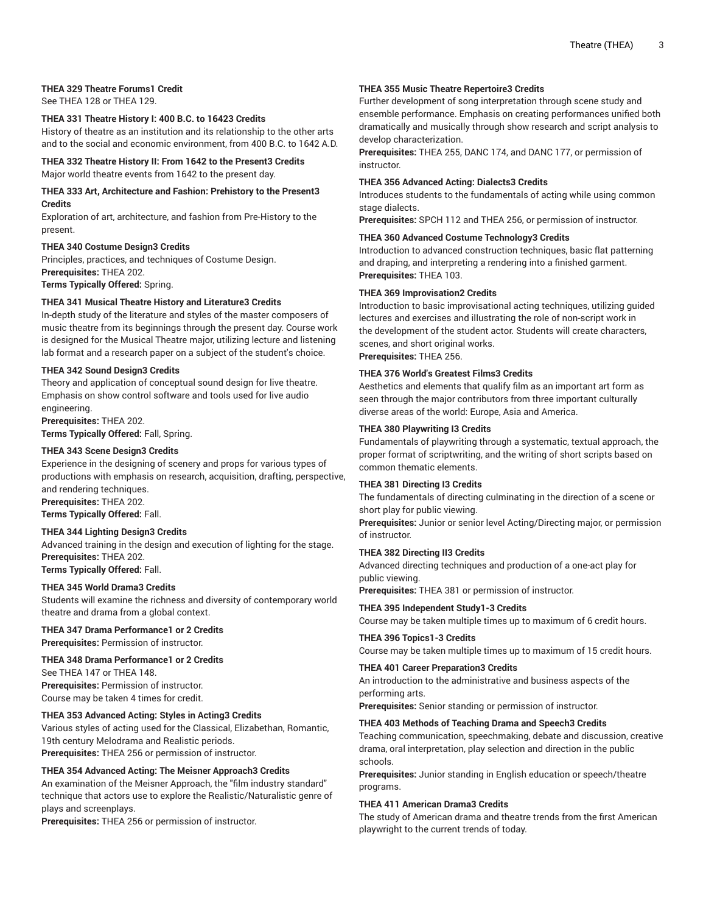# **THEA 329 Theatre Forums1 Credit**

See THEA 128 or THEA 129.

#### **THEA 331 Theatre History I: 400 B.C. to 16423 Credits**

History of theatre as an institution and its relationship to the other arts and to the social and economic environment, from 400 B.C. to 1642 A.D.

**THEA 332 Theatre History II: From 1642 to the Present3 Credits** Major world theatre events from 1642 to the present day.

#### **THEA 333 Art, Architecture and Fashion: Prehistory to the Present3 Credits**

Exploration of art, architecture, and fashion from Pre-History to the present.

#### **THEA 340 Costume Design3 Credits**

Principles, practices, and techniques of Costume Design. **Prerequisites:** THEA 202. **Terms Typically Offered:** Spring.

#### **THEA 341 Musical Theatre History and Literature3 Credits**

In-depth study of the literature and styles of the master composers of music theatre from its beginnings through the present day. Course work is designed for the Musical Theatre major, utilizing lecture and listening lab format and a research paper on a subject of the student's choice.

#### **THEA 342 Sound Design3 Credits**

Theory and application of conceptual sound design for live theatre. Emphasis on show control software and tools used for live audio engineering.

**Prerequisites:** THEA 202.

**Terms Typically Offered:** Fall, Spring.

# **THEA 343 Scene Design3 Credits**

Experience in the designing of scenery and props for various types of productions with emphasis on research, acquisition, drafting, perspective, and rendering techniques.

**Prerequisites:** THEA 202. **Terms Typically Offered:** Fall.

# **THEA 344 Lighting Design3 Credits**

Advanced training in the design and execution of lighting for the stage. **Prerequisites:** THEA 202. **Terms Typically Offered:** Fall.

# **THEA 345 World Drama3 Credits**

Students will examine the richness and diversity of contemporary world theatre and drama from a global context.

#### **THEA 347 Drama Performance1 or 2 Credits Prerequisites:** Permission of instructor.

**THEA 348 Drama Performance1 or 2 Credits**

See THEA 147 or THEA 148. **Prerequisites:** Permission of instructor. Course may be taken 4 times for credit.

#### **THEA 353 Advanced Acting: Styles in Acting3 Credits**

Various styles of acting used for the Classical, Elizabethan, Romantic, 19th century Melodrama and Realistic periods. **Prerequisites:** THEA 256 or permission of instructor.

#### **THEA 354 Advanced Acting: The Meisner Approach3 Credits**

An examination of the Meisner Approach, the "film industry standard" technique that actors use to explore the Realistic/Naturalistic genre of plays and screenplays.

**Prerequisites:** THEA 256 or permission of instructor.

#### **THEA 355 Music Theatre Repertoire3 Credits**

Further development of song interpretation through scene study and ensemble performance. Emphasis on creating performances unified both dramatically and musically through show research and script analysis to develop characterization.

**Prerequisites:** THEA 255, DANC 174, and DANC 177, or permission of instructor.

#### **THEA 356 Advanced Acting: Dialects3 Credits**

Introduces students to the fundamentals of acting while using common stage dialects.

**Prerequisites:** SPCH 112 and THEA 256, or permission of instructor.

#### **THEA 360 Advanced Costume Technology3 Credits**

Introduction to advanced construction techniques, basic flat patterning and draping, and interpreting a rendering into a finished garment. **Prerequisites:** THEA 103.

#### **THEA 369 Improvisation2 Credits**

Introduction to basic improvisational acting techniques, utilizing guided lectures and exercises and illustrating the role of non-script work in the development of the student actor. Students will create characters, scenes, and short original works. **Prerequisites:** THEA 256.

**THEA 376 World's Greatest Films3 Credits**

Aesthetics and elements that qualify film as an important art form as seen through the major contributors from three important culturally diverse areas of the world: Europe, Asia and America.

#### **THEA 380 Playwriting I3 Credits**

Fundamentals of playwriting through a systematic, textual approach, the proper format of scriptwriting, and the writing of short scripts based on common thematic elements.

#### **THEA 381 Directing I3 Credits**

The fundamentals of directing culminating in the direction of a scene or short play for public viewing.

**Prerequisites:** Junior or senior level Acting/Directing major, or permission of instructor.

# **THEA 382 Directing II3 Credits**

Advanced directing techniques and production of a one-act play for public viewing.

**Prerequisites:** THEA 381 or permission of instructor.

# **THEA 395 Independent Study1-3 Credits**

Course may be taken multiple times up to maximum of 6 credit hours.

#### **THEA 396 Topics1-3 Credits**

Course may be taken multiple times up to maximum of 15 credit hours.

# **THEA 401 Career Preparation3 Credits**

An introduction to the administrative and business aspects of the performing arts.

**Prerequisites:** Senior standing or permission of instructor.

#### **THEA 403 Methods of Teaching Drama and Speech3 Credits**

Teaching communication, speechmaking, debate and discussion, creative drama, oral interpretation, play selection and direction in the public schools.

**Prerequisites:** Junior standing in English education or speech/theatre programs.

#### **THEA 411 American Drama3 Credits**

The study of American drama and theatre trends from the first American playwright to the current trends of today.